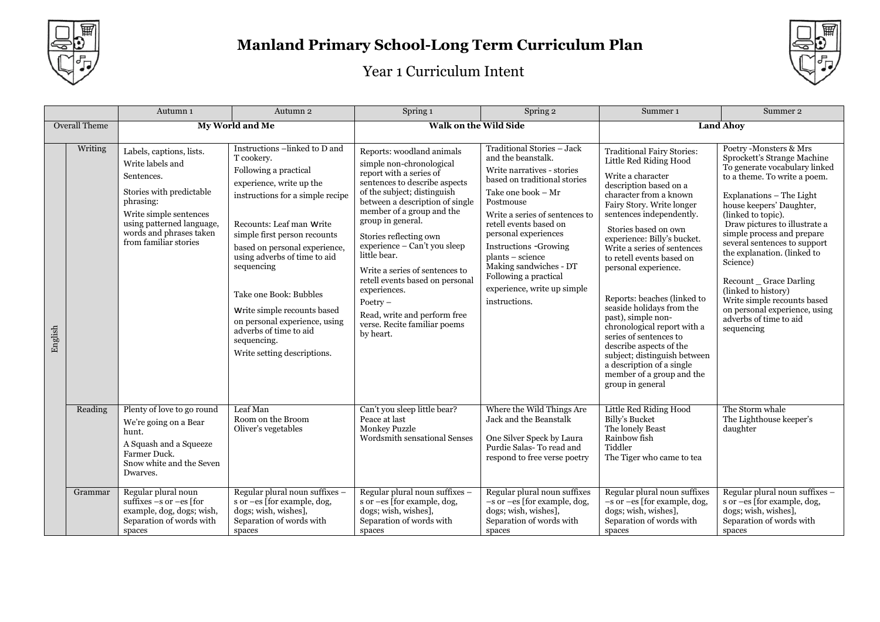



|         |                      | Autumn 1                                                                                                                                                                                                       | Autumn 2                                                                                                                                                                                                                                                                                                                                                                                                                                          | Spring 1                                                                                                                                                                                                                                                                                                                                                                                                                                                                                        | Spring 2                                                                                                                                                                                                                                                                                                                                                                                     | Summer <sub>1</sub>                                                                                                                                                                                                                                                                                                                                                                                                                                                                                                                                                                                                          | Summer 2                                                                                                                                                                                                                                                                                                                                                                                                                                                                                                 |  |
|---------|----------------------|----------------------------------------------------------------------------------------------------------------------------------------------------------------------------------------------------------------|---------------------------------------------------------------------------------------------------------------------------------------------------------------------------------------------------------------------------------------------------------------------------------------------------------------------------------------------------------------------------------------------------------------------------------------------------|-------------------------------------------------------------------------------------------------------------------------------------------------------------------------------------------------------------------------------------------------------------------------------------------------------------------------------------------------------------------------------------------------------------------------------------------------------------------------------------------------|----------------------------------------------------------------------------------------------------------------------------------------------------------------------------------------------------------------------------------------------------------------------------------------------------------------------------------------------------------------------------------------------|------------------------------------------------------------------------------------------------------------------------------------------------------------------------------------------------------------------------------------------------------------------------------------------------------------------------------------------------------------------------------------------------------------------------------------------------------------------------------------------------------------------------------------------------------------------------------------------------------------------------------|----------------------------------------------------------------------------------------------------------------------------------------------------------------------------------------------------------------------------------------------------------------------------------------------------------------------------------------------------------------------------------------------------------------------------------------------------------------------------------------------------------|--|
|         | <b>Overall Theme</b> |                                                                                                                                                                                                                | My World and Me                                                                                                                                                                                                                                                                                                                                                                                                                                   |                                                                                                                                                                                                                                                                                                                                                                                                                                                                                                 | Walk on the Wild Side                                                                                                                                                                                                                                                                                                                                                                        |                                                                                                                                                                                                                                                                                                                                                                                                                                                                                                                                                                                                                              | <b>Land Ahov</b>                                                                                                                                                                                                                                                                                                                                                                                                                                                                                         |  |
| English | Writing              | Labels, captions, lists.<br>Write labels and<br>Sentences.<br>Stories with predictable<br>phrasing:<br>Write simple sentences<br>using patterned language,<br>words and phrases taken<br>from familiar stories | Instructions -linked to D and<br>T cookery.<br>Following a practical<br>experience, write up the<br>instructions for a simple recipe<br>Recounts: Leaf man Write<br>simple first person recounts<br>based on personal experience,<br>using adverbs of time to aid<br>sequencing<br>Take one Book: Bubbles<br>Write simple recounts based<br>on personal experience, using<br>adverbs of time to aid<br>sequencing.<br>Write setting descriptions. | Reports: woodland animals<br>simple non-chronological<br>report with a series of<br>sentences to describe aspects<br>of the subject; distinguish<br>between a description of single<br>member of a group and the<br>group in general.<br>Stories reflecting own<br>experience - Can't you sleep<br>little bear.<br>Write a series of sentences to<br>retell events based on personal<br>experiences.<br>Poetry $-$<br>Read, write and perform free<br>verse. Recite familiar poems<br>by heart. | Traditional Stories - Jack<br>and the beanstalk.<br>Write narratives - stories<br>based on traditional stories<br>Take one book - Mr<br>Postmouse<br>Write a series of sentences to<br>retell events based on<br>personal experiences<br><b>Instructions -Growing</b><br>plants – science<br>Making sandwiches - DT<br>Following a practical<br>experience, write up simple<br>instructions. | <b>Traditional Fairy Stories:</b><br>Little Red Riding Hood<br>Write a character<br>description based on a<br>character from a known<br>Fairy Story. Write longer<br>sentences independently.<br>Stories based on own<br>experience: Billy's bucket.<br>Write a series of sentences<br>to retell events based on<br>personal experience.<br>Reports: beaches (linked to<br>seaside holidays from the<br>past), simple non-<br>chronological report with a<br>series of sentences to<br>describe aspects of the<br>subject; distinguish between<br>a description of a single<br>member of a group and the<br>group in general | Poetry -Monsters & Mrs<br>Sprockett's Strange Machine<br>To generate vocabulary linked<br>to a theme. To write a poem.<br>Explanations - The Light<br>house keepers' Daughter,<br>(linked to topic).<br>Draw pictures to illustrate a<br>simple process and prepare<br>several sentences to support<br>the explanation. (linked to<br>Science)<br>Recount _ Grace Darling<br>(linked to history)<br>Write simple recounts based<br>on personal experience, using<br>adverbs of time to aid<br>sequencing |  |
|         | Reading              | Plenty of love to go round<br>We're going on a Bear<br>hunt.<br>A Squash and a Squeeze<br>Farmer Duck.<br>Snow white and the Seven<br>Dwarves.                                                                 | Leaf Man<br>Room on the Broom<br>Oliver's vegetables                                                                                                                                                                                                                                                                                                                                                                                              | Can't you sleep little bear?<br>Peace at last<br><b>Monkey Puzzle</b><br><b>Wordsmith sensational Senses</b>                                                                                                                                                                                                                                                                                                                                                                                    | Where the Wild Things Are<br>Jack and the Beanstalk<br>One Silver Speck by Laura<br>Purdie Salas-To read and<br>respond to free verse poetry                                                                                                                                                                                                                                                 | Little Red Riding Hood<br>Billy's Bucket<br>The lonely Beast<br>Rainbow fish<br>Tiddler<br>The Tiger who came to tea                                                                                                                                                                                                                                                                                                                                                                                                                                                                                                         | The Storm whale<br>The Lighthouse keeper's<br>daughter                                                                                                                                                                                                                                                                                                                                                                                                                                                   |  |
|         | Grammar              | Regular plural noun<br>suffixes $-s$ or $-es$ [for<br>example, dog, dogs; wish,<br>Separation of words with<br>spaces                                                                                          | Regular plural noun suffixes -<br>s or -es [for example, dog,<br>dogs; wish, wishes],<br>Separation of words with<br>spaces                                                                                                                                                                                                                                                                                                                       | Regular plural noun suffixes -<br>s or $-es$ [for example, dog,<br>dogs; wish, wishes].<br>Separation of words with<br>spaces                                                                                                                                                                                                                                                                                                                                                                   | Regular plural noun suffixes<br>$-$ s or $-$ es [for example, dog,<br>dogs; wish, wishes],<br>Separation of words with<br>spaces                                                                                                                                                                                                                                                             | Regular plural noun suffixes<br>-s or -es [for example, dog,<br>dogs; wish, wishes],<br>Separation of words with<br>spaces                                                                                                                                                                                                                                                                                                                                                                                                                                                                                                   | Regular plural noun suffixes -<br>s or -es [for example, dog,<br>dogs; wish, wishes],<br>Separation of words with<br>spaces                                                                                                                                                                                                                                                                                                                                                                              |  |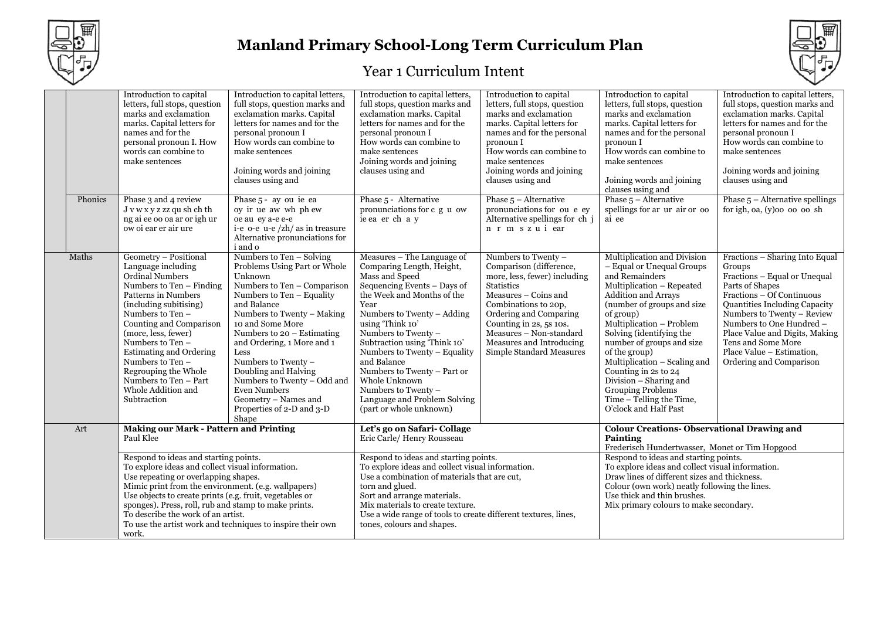



|                                                                                                                                                                                                                                                                                                                                                                                                                          |         | Introduction to capital<br>letters, full stops, question<br>marks and exclamation<br>marks. Capital letters for<br>names and for the<br>personal pronoun I. How<br>words can combine to<br>make sentences                                                                                                                                                                         | Introduction to capital letters,<br>full stops, question marks and<br>exclamation marks. Capital<br>letters for names and for the<br>personal pronoun I<br>How words can combine to<br>make sentences<br>Joining words and joining<br>clauses using and                                                                                                                                                                                   | Introduction to capital letters,<br>full stops, question marks and<br>exclamation marks. Capital<br>letters for names and for the<br>personal pronoun I<br>How words can combine to<br>make sentences<br>Joining words and joining<br>clauses using and                                                                                                                                                                                  | Introduction to capital<br>letters, full stops, question<br>marks and exclamation<br>marks. Capital letters for<br>names and for the personal<br>pronoun I<br>How words can combine to<br>make sentences<br>Joining words and joining<br>clauses using and                                  | Introduction to capital<br>letters, full stops, question<br>marks and exclamation<br>marks. Capital letters for<br>names and for the personal<br>pronoun I<br>How words can combine to<br>make sentences<br>Joining words and joining<br>clauses using and                                                                                                                                                                                         | Introduction to capital letters,<br>full stops, question marks and<br>exclamation marks. Capital<br>letters for names and for the<br>personal pronoun I<br>How words can combine to<br>make sentences<br>Joining words and joining<br>clauses using and                                                                             |
|--------------------------------------------------------------------------------------------------------------------------------------------------------------------------------------------------------------------------------------------------------------------------------------------------------------------------------------------------------------------------------------------------------------------------|---------|-----------------------------------------------------------------------------------------------------------------------------------------------------------------------------------------------------------------------------------------------------------------------------------------------------------------------------------------------------------------------------------|-------------------------------------------------------------------------------------------------------------------------------------------------------------------------------------------------------------------------------------------------------------------------------------------------------------------------------------------------------------------------------------------------------------------------------------------|------------------------------------------------------------------------------------------------------------------------------------------------------------------------------------------------------------------------------------------------------------------------------------------------------------------------------------------------------------------------------------------------------------------------------------------|---------------------------------------------------------------------------------------------------------------------------------------------------------------------------------------------------------------------------------------------------------------------------------------------|----------------------------------------------------------------------------------------------------------------------------------------------------------------------------------------------------------------------------------------------------------------------------------------------------------------------------------------------------------------------------------------------------------------------------------------------------|-------------------------------------------------------------------------------------------------------------------------------------------------------------------------------------------------------------------------------------------------------------------------------------------------------------------------------------|
|                                                                                                                                                                                                                                                                                                                                                                                                                          | Phonics | Phase 3 and 4 review<br>J v w x y z zz qu sh ch th<br>ng ai ee oo oa ar or igh ur<br>ow oi ear er air ure                                                                                                                                                                                                                                                                         | Phase 5 - ay ou ie ea<br>ov ir ue aw wh ph ew<br>oe au ey a-e e-e<br>i-e o-e u-e $\frac{z}{h}$ as in treasure<br>Alternative pronunciations for<br>i and o                                                                                                                                                                                                                                                                                | Phase 5 - Alternative<br>pronunciations for c g u ow<br>ie ea er ch a y                                                                                                                                                                                                                                                                                                                                                                  | Phase $5 -$ Alternative<br>pronunciations for ou e ey<br>Alternative spellings for ch j<br>n r m s z u i ear                                                                                                                                                                                | Phase $5 -$ Alternative<br>spellings for ar ur air or oo<br>ai ee                                                                                                                                                                                                                                                                                                                                                                                  | Phase $5$ – Alternative spellings<br>for igh, oa, $(y)$ oo oo oo sh                                                                                                                                                                                                                                                                 |
|                                                                                                                                                                                                                                                                                                                                                                                                                          | Maths   | Geometry - Positional<br>Language including<br>Ordinal Numbers<br>Numbers to Ten - Finding<br>Patterns in Numbers<br>(including subitising)<br>Numbers to Ten -<br>Counting and Comparison<br>(more, less, fewer)<br>Numbers to Ten -<br><b>Estimating and Ordering</b><br>Numbers to Ten -<br>Regrouping the Whole<br>Numbers to Ten - Part<br>Whole Addition and<br>Subtraction | Numbers to Ten - Solving<br>Problems Using Part or Whole<br>Unknown<br>Numbers to Ten - Comparison<br>Numbers to Ten - Equality<br>and Balance<br>Numbers to Twenty - Making<br>10 and Some More<br>Numbers to $20$ – Estimating<br>and Ordering, 1 More and 1<br>Less<br>Numbers to Twenty -<br>Doubling and Halving<br>Numbers to Twenty - Odd and<br><b>Even Numbers</b><br>Geometry - Names and<br>Properties of 2-D and 3-D<br>Shape | Measures - The Language of<br>Comparing Length, Height,<br>Mass and Speed<br>Sequencing Events - Days of<br>the Week and Months of the<br>Year<br>Numbers to Twenty – Adding<br>using 'Think 10'<br>Numbers to Twenty -<br>Subtraction using 'Think 10'<br>Numbers to Twenty - Equality<br>and Balance<br>Numbers to Twenty - Part or<br>Whole Unknown<br>Numbers to Twenty -<br>Language and Problem Solving<br>(part or whole unknown) | Numbers to Twenty -<br>Comparison (difference,<br>more, less, fewer) including<br><b>Statistics</b><br>Measures - Coins and<br>Combinations to 20p,<br>Ordering and Comparing<br>Counting in 2s, 5s 10s.<br>Measures - Non-standard<br>Measures and Introducing<br>Simple Standard Measures | Multiplication and Division<br>- Equal or Unequal Groups<br>and Remainders<br>Multiplication - Repeated<br><b>Addition and Arrays</b><br>(number of groups and size<br>of group)<br>Multiplication - Problem<br>Solving (identifying the<br>number of groups and size<br>of the group)<br>Multiplication - Scaling and<br>Counting in 2s to 24<br>Division – Sharing and<br>Grouping Problems<br>Time - Telling the Time,<br>O'clock and Half Past | Fractions - Sharing Into Equal<br>Groups<br>Fractions - Equal or Unequal<br>Parts of Shapes<br>Fractions – Of Continuous<br>Quantities Including Capacity<br>Numbers to Twenty - Review<br>Numbers to One Hundred -<br>Place Value and Digits, Making<br>Tens and Some More<br>Place Value - Estimation,<br>Ordering and Comparison |
|                                                                                                                                                                                                                                                                                                                                                                                                                          | Art     | <b>Making our Mark - Pattern and Printing</b><br>Paul Klee                                                                                                                                                                                                                                                                                                                        |                                                                                                                                                                                                                                                                                                                                                                                                                                           | Let's go on Safari-Collage<br>Eric Carle/ Henry Rousseau                                                                                                                                                                                                                                                                                                                                                                                 |                                                                                                                                                                                                                                                                                             | <b>Colour Creations- Observational Drawing and</b><br>Painting<br>Frederisch Hundertwasser, Monet or Tim Hopgood                                                                                                                                                                                                                                                                                                                                   |                                                                                                                                                                                                                                                                                                                                     |
| Respond to ideas and starting points.<br>To explore ideas and collect visual information.<br>Use repeating or overlapping shapes.<br>Mimic print from the environment. (e.g. wallpapers)<br>Use objects to create prints (e.g. fruit, vegetables or<br>sponges). Press, roll, rub and stamp to make prints.<br>To describe the work of an artist.<br>To use the artist work and techniques to inspire their own<br>work. |         |                                                                                                                                                                                                                                                                                                                                                                                   | Respond to ideas and starting points.<br>To explore ideas and collect visual information.<br>Use a combination of materials that are cut,<br>torn and glued.<br>Sort and arrange materials.<br>Mix materials to create texture.<br>Use a wide range of tools to create different textures, lines,<br>tones, colours and shapes.                                                                                                           |                                                                                                                                                                                                                                                                                                                                                                                                                                          | Respond to ideas and starting points.<br>To explore ideas and collect visual information.<br>Draw lines of different sizes and thickness.<br>Colour (own work) neatly following the lines.<br>Use thick and thin brushes.<br>Mix primary colours to make secondary.                         |                                                                                                                                                                                                                                                                                                                                                                                                                                                    |                                                                                                                                                                                                                                                                                                                                     |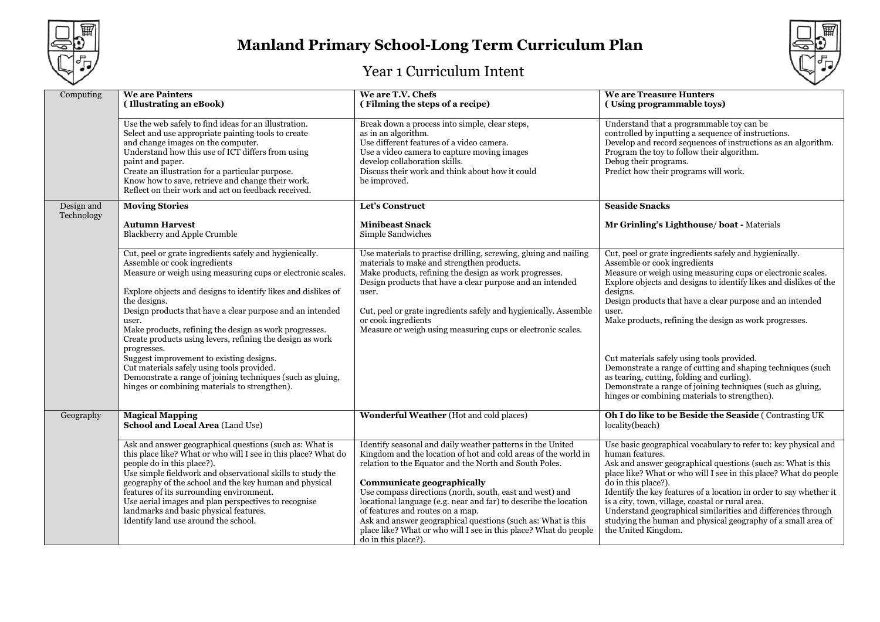



| Computing  | <b>We are Painters</b><br>(Illustrating an eBook)                                                                                                                                                                                                                                                                                                                                                                                                                     | We are T.V. Chefs<br>(Filming the steps of a recipe)                                                                                                                                                                                                                                                                                                                                                                                                                                                                                                | <b>We are Treasure Hunters</b><br>(Using programmable toys)                                                                                                                                                                                                                                                                                                                                                                                                                                                                    |
|------------|-----------------------------------------------------------------------------------------------------------------------------------------------------------------------------------------------------------------------------------------------------------------------------------------------------------------------------------------------------------------------------------------------------------------------------------------------------------------------|-----------------------------------------------------------------------------------------------------------------------------------------------------------------------------------------------------------------------------------------------------------------------------------------------------------------------------------------------------------------------------------------------------------------------------------------------------------------------------------------------------------------------------------------------------|--------------------------------------------------------------------------------------------------------------------------------------------------------------------------------------------------------------------------------------------------------------------------------------------------------------------------------------------------------------------------------------------------------------------------------------------------------------------------------------------------------------------------------|
|            | Use the web safely to find ideas for an illustration.<br>Select and use appropriate painting tools to create<br>and change images on the computer.<br>Understand how this use of ICT differs from using<br>paint and paper.<br>Create an illustration for a particular purpose.<br>Know how to save, retrieve and change their work.<br>Reflect on their work and act on feedback received.                                                                           | Break down a process into simple, clear steps,<br>as in an algorithm.<br>Use different features of a video camera.<br>Use a video camera to capture moving images<br>develop collaboration skills.<br>Discuss their work and think about how it could<br>be improved.                                                                                                                                                                                                                                                                               | Understand that a programmable toy can be<br>controlled by inputting a sequence of instructions.<br>Develop and record sequences of instructions as an algorithm.<br>Program the toy to follow their algorithm.<br>Debug their programs.<br>Predict how their programs will work.                                                                                                                                                                                                                                              |
| Design and | <b>Moving Stories</b>                                                                                                                                                                                                                                                                                                                                                                                                                                                 | Let's Construct                                                                                                                                                                                                                                                                                                                                                                                                                                                                                                                                     | <b>Seaside Snacks</b>                                                                                                                                                                                                                                                                                                                                                                                                                                                                                                          |
| Technology | <b>Autumn Harvest</b><br><b>Blackberry and Apple Crumble</b>                                                                                                                                                                                                                                                                                                                                                                                                          | <b>Minibeast Snack</b><br>Simple Sandwiches                                                                                                                                                                                                                                                                                                                                                                                                                                                                                                         | Mr Grinling's Lighthouse/boat - Materials                                                                                                                                                                                                                                                                                                                                                                                                                                                                                      |
|            | Cut, peel or grate ingredients safely and hygienically.<br>Assemble or cook ingredients<br>Measure or weigh using measuring cups or electronic scales.<br>Explore objects and designs to identify likes and dislikes of<br>the designs.<br>Design products that have a clear purpose and an intended<br>user.<br>Make products, refining the design as work progresses.<br>Create products using levers, refining the design as work<br>progresses.                   | Use materials to practise drilling, screwing, gluing and nailing<br>materials to make and strengthen products.<br>Make products, refining the design as work progresses.<br>Design products that have a clear purpose and an intended<br>user.<br>Cut, peel or grate ingredients safely and hygienically. Assemble<br>or cook ingredients<br>Measure or weigh using measuring cups or electronic scales.                                                                                                                                            | Cut, peel or grate ingredients safely and hygienically.<br>Assemble or cook ingredients<br>Measure or weigh using measuring cups or electronic scales.<br>Explore objects and designs to identify likes and dislikes of the<br>designs.<br>Design products that have a clear purpose and an intended<br>user.<br>Make products, refining the design as work progresses.                                                                                                                                                        |
|            | Suggest improvement to existing designs.<br>Cut materials safely using tools provided.<br>Demonstrate a range of joining techniques (such as gluing,<br>hinges or combining materials to strengthen).                                                                                                                                                                                                                                                                 |                                                                                                                                                                                                                                                                                                                                                                                                                                                                                                                                                     | Cut materials safely using tools provided.<br>Demonstrate a range of cutting and shaping techniques (such<br>as tearing, cutting, folding and curling).<br>Demonstrate a range of joining techniques (such as gluing,<br>hinges or combining materials to strengthen).                                                                                                                                                                                                                                                         |
| Geography  | <b>Magical Mapping</b><br>School and Local Area (Land Use)                                                                                                                                                                                                                                                                                                                                                                                                            | Wonderful Weather (Hot and cold places)                                                                                                                                                                                                                                                                                                                                                                                                                                                                                                             | <b>Oh I do like to be Beside the Seaside (Contrasting UK)</b><br>locality(beach)                                                                                                                                                                                                                                                                                                                                                                                                                                               |
|            | Ask and answer geographical questions (such as: What is<br>this place like? What or who will I see in this place? What do<br>people do in this place?).<br>Use simple fieldwork and observational skills to study the<br>geography of the school and the key human and physical<br>features of its surrounding environment.<br>Use aerial images and plan perspectives to recognise<br>landmarks and basic physical features.<br>Identify land use around the school. | Identify seasonal and daily weather patterns in the United<br>Kingdom and the location of hot and cold areas of the world in<br>relation to the Equator and the North and South Poles.<br>Communicate geographically<br>Use compass directions (north, south, east and west) and<br>locational language (e.g. near and far) to describe the location<br>of features and routes on a map.<br>Ask and answer geographical questions (such as: What is this<br>place like? What or who will I see in this place? What do people<br>do in this place?). | Use basic geographical vocabulary to refer to: key physical and<br>human features.<br>Ask and answer geographical questions (such as: What is this<br>place like? What or who will I see in this place? What do people<br>do in this place?).<br>Identify the key features of a location in order to say whether it<br>is a city, town, village, coastal or rural area.<br>Understand geographical similarities and differences through<br>studying the human and physical geography of a small area of<br>the United Kingdom. |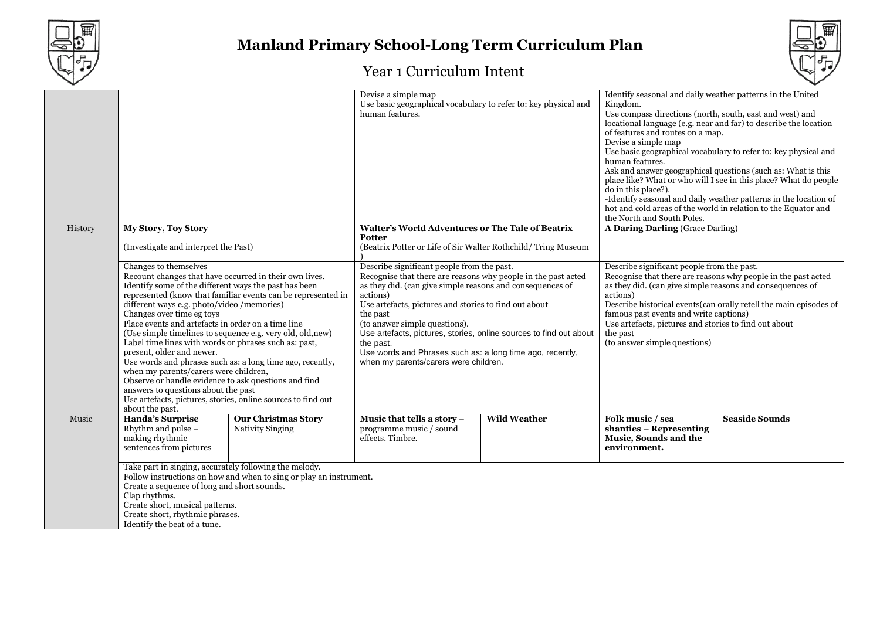



|         |                                                                                                                                                                                                                                                                                                                                                                                                                                                                                                                                                                                                                                                                                                                                                                                       |                                                                    | Devise a simple map<br>Use basic geographical vocabulary to refer to: key physical and<br>human features.                                                                                                                                                                                                                                                                                                                                                                           |                     | Identify seasonal and daily weather patterns in the United<br>Kingdom.<br>Use compass directions (north, south, east and west) and<br>of features and routes on a map.<br>Devise a simple map<br>human features.<br>do in this place?).<br>the North and South Poles.                                                                                                                                    | locational language (e.g. near and far) to describe the location<br>Use basic geographical vocabulary to refer to: key physical and<br>Ask and answer geographical questions (such as: What is this<br>place like? What or who will I see in this place? What do people<br>-Identify seasonal and daily weather patterns in the location of<br>hot and cold areas of the world in relation to the Equator and |
|---------|---------------------------------------------------------------------------------------------------------------------------------------------------------------------------------------------------------------------------------------------------------------------------------------------------------------------------------------------------------------------------------------------------------------------------------------------------------------------------------------------------------------------------------------------------------------------------------------------------------------------------------------------------------------------------------------------------------------------------------------------------------------------------------------|--------------------------------------------------------------------|-------------------------------------------------------------------------------------------------------------------------------------------------------------------------------------------------------------------------------------------------------------------------------------------------------------------------------------------------------------------------------------------------------------------------------------------------------------------------------------|---------------------|----------------------------------------------------------------------------------------------------------------------------------------------------------------------------------------------------------------------------------------------------------------------------------------------------------------------------------------------------------------------------------------------------------|---------------------------------------------------------------------------------------------------------------------------------------------------------------------------------------------------------------------------------------------------------------------------------------------------------------------------------------------------------------------------------------------------------------|
| History | <b>My Story, Toy Story</b>                                                                                                                                                                                                                                                                                                                                                                                                                                                                                                                                                                                                                                                                                                                                                            |                                                                    | <b>Walter's World Adventures or The Tale of Beatrix</b>                                                                                                                                                                                                                                                                                                                                                                                                                             |                     | A Daring Darling (Grace Darling)                                                                                                                                                                                                                                                                                                                                                                         |                                                                                                                                                                                                                                                                                                                                                                                                               |
|         | (Investigate and interpret the Past)                                                                                                                                                                                                                                                                                                                                                                                                                                                                                                                                                                                                                                                                                                                                                  |                                                                    | Potter<br>(Beatrix Potter or Life of Sir Walter Rothchild/Tring Museum                                                                                                                                                                                                                                                                                                                                                                                                              |                     |                                                                                                                                                                                                                                                                                                                                                                                                          |                                                                                                                                                                                                                                                                                                                                                                                                               |
|         | Changes to themselves<br>Recount changes that have occurred in their own lives.<br>Identify some of the different ways the past has been<br>represented (know that familiar events can be represented in<br>different ways e.g. photo/video /memories)<br>Changes over time eg toys<br>Place events and artefacts in order on a time line<br>(Use simple timelines to sequence e.g. very old, old, new)<br>Label time lines with words or phrases such as: past,<br>present, older and newer.<br>Use words and phrases such as: a long time ago, recently,<br>when my parents/carers were children,<br>Observe or handle evidence to ask questions and find<br>answers to questions about the past<br>Use artefacts, pictures, stories, online sources to find out<br>about the past. |                                                                    | Describe significant people from the past.<br>Recognise that there are reasons why people in the past acted<br>as they did. (can give simple reasons and consequences of<br>actions)<br>Use artefacts, pictures and stories to find out about<br>the past<br>(to answer simple questions).<br>Use artefacts, pictures, stories, online sources to find out about<br>the past.<br>Use words and Phrases such as: a long time ago, recently,<br>when my parents/carers were children. |                     | Describe significant people from the past.<br>Recognise that there are reasons why people in the past acted<br>as they did. (can give simple reasons and consequences of<br>actions)<br>Describe historical events(can orally retell the main episodes of<br>famous past events and write captions)<br>Use artefacts, pictures and stories to find out about<br>the past<br>(to answer simple questions) |                                                                                                                                                                                                                                                                                                                                                                                                               |
| Music   | <b>Handa's Surprise</b><br>Rhythm and pulse -<br>making rhythmic<br>sentences from pictures                                                                                                                                                                                                                                                                                                                                                                                                                                                                                                                                                                                                                                                                                           | <b>Our Christmas Story</b><br>Nativity Singing                     | Music that tells a story -<br>programme music / sound<br>effects. Timbre.                                                                                                                                                                                                                                                                                                                                                                                                           | <b>Wild Weather</b> | Folk music / sea<br>shanties - Representing<br>Music, Sounds and the<br>environment.                                                                                                                                                                                                                                                                                                                     | <b>Seaside Sounds</b>                                                                                                                                                                                                                                                                                                                                                                                         |
|         | Take part in singing, accurately following the melody.<br>Create a sequence of long and short sounds.<br>Clap rhythms.<br>Create short, musical patterns.<br>Create short, rhythmic phrases.<br>Identify the beat of a tune.                                                                                                                                                                                                                                                                                                                                                                                                                                                                                                                                                          | Follow instructions on how and when to sing or play an instrument. |                                                                                                                                                                                                                                                                                                                                                                                                                                                                                     |                     |                                                                                                                                                                                                                                                                                                                                                                                                          |                                                                                                                                                                                                                                                                                                                                                                                                               |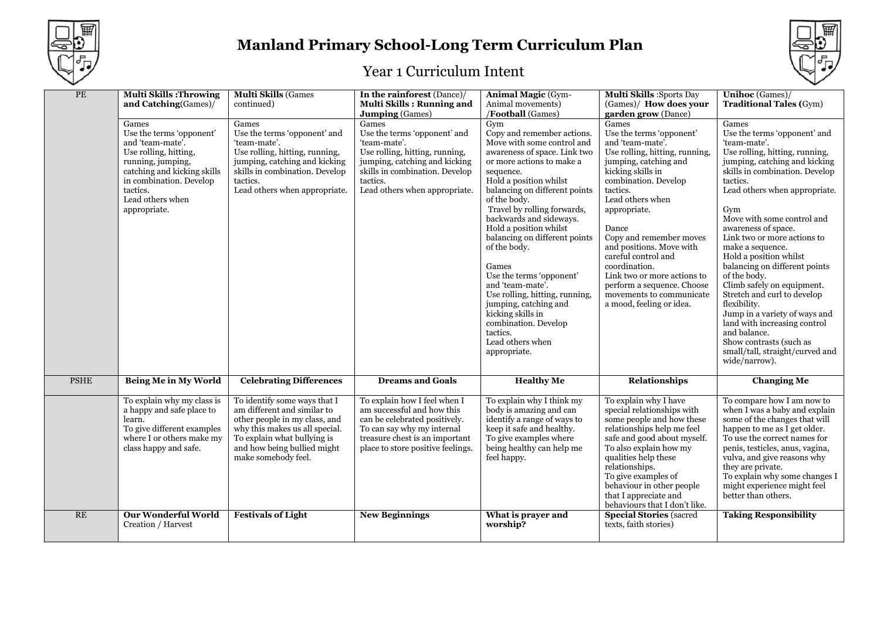



| PE          | <b>Multi Skills: Throwing</b><br>and Catching(Games)/<br>Games<br>Use the terms 'opponent'<br>and 'team-mate'.<br>Use rolling, hitting,<br>running, jumping,<br>catching and kicking skills<br>in combination. Develop<br>tactics.<br>Lead others when<br>appropriate. | <b>Multi Skills (Games</b><br>continued)<br>Games<br>Use the terms 'opponent' and<br>'team-mate'.<br>Use rolling, hitting, running,<br>jumping, catching and kicking<br>skills in combination. Develop<br>tactics.<br>Lead others when appropriate. | In the rainforest (Dance)/<br>Multi Skills: Running and<br><b>Jumping</b> (Games)<br>Games<br>Use the terms 'opponent' and<br>'team-mate'.<br>Use rolling, hitting, running,<br>jumping, catching and kicking<br>skills in combination. Develop<br>tactics.<br>Lead others when appropriate. | <b>Animal Magic (Gym-</b><br>Animal movements)<br>/Football (Games)<br>Gym<br>Copy and remember actions.<br>Move with some control and<br>awareness of space. Link two<br>or more actions to make a<br>sequence.<br>Hold a position whilst<br>balancing on different points<br>of the body.<br>Travel by rolling forwards,<br>backwards and sideways.<br>Hold a position whilst<br>balancing on different points<br>of the body.<br>Games<br>Use the terms 'opponent'<br>and 'team-mate'.<br>Use rolling, hitting, running,<br>jumping, catching and | <b>Multi Skills: Sports Day</b><br>(Games)/ How does your<br>garden grow (Dance)<br>Games<br>Use the terms 'opponent'<br>and 'team-mate'.<br>Use rolling, hitting, running,<br>jumping, catching and<br>kicking skills in<br>combination. Develop<br>tactics.<br>Lead others when<br>appropriate.<br>Dance<br>Copy and remember moves<br>and positions. Move with<br>careful control and<br>coordination.<br>Link two or more actions to<br>perform a sequence. Choose<br>movements to communicate<br>a mood, feeling or idea. | <b>Unihoc</b> (Games)/<br><b>Traditional Tales (Gym)</b><br>Games<br>Use the terms 'opponent' and<br>'team-mate'.<br>Use rolling, hitting, running,<br>jumping, catching and kicking<br>skills in combination. Develop<br>tactics.<br>Lead others when appropriate.<br>Gym<br>Move with some control and<br>awareness of space.<br>Link two or more actions to<br>make a sequence.<br>Hold a position whilst<br>balancing on different points<br>of the body.<br>Climb safely on equipment.<br>Stretch and curl to develop<br>flexibility. |
|-------------|------------------------------------------------------------------------------------------------------------------------------------------------------------------------------------------------------------------------------------------------------------------------|-----------------------------------------------------------------------------------------------------------------------------------------------------------------------------------------------------------------------------------------------------|----------------------------------------------------------------------------------------------------------------------------------------------------------------------------------------------------------------------------------------------------------------------------------------------|------------------------------------------------------------------------------------------------------------------------------------------------------------------------------------------------------------------------------------------------------------------------------------------------------------------------------------------------------------------------------------------------------------------------------------------------------------------------------------------------------------------------------------------------------|--------------------------------------------------------------------------------------------------------------------------------------------------------------------------------------------------------------------------------------------------------------------------------------------------------------------------------------------------------------------------------------------------------------------------------------------------------------------------------------------------------------------------------|--------------------------------------------------------------------------------------------------------------------------------------------------------------------------------------------------------------------------------------------------------------------------------------------------------------------------------------------------------------------------------------------------------------------------------------------------------------------------------------------------------------------------------------------|
|             |                                                                                                                                                                                                                                                                        |                                                                                                                                                                                                                                                     |                                                                                                                                                                                                                                                                                              | kicking skills in<br>combination. Develop<br>tactics.<br>Lead others when<br>appropriate.                                                                                                                                                                                                                                                                                                                                                                                                                                                            |                                                                                                                                                                                                                                                                                                                                                                                                                                                                                                                                | Jump in a variety of ways and<br>land with increasing control<br>and balance.<br>Show contrasts (such as<br>small/tall, straight/curved and<br>wide/narrow).                                                                                                                                                                                                                                                                                                                                                                               |
| <b>PSHE</b> | <b>Being Me in My World</b>                                                                                                                                                                                                                                            | <b>Celebrating Differences</b>                                                                                                                                                                                                                      | <b>Dreams and Goals</b>                                                                                                                                                                                                                                                                      | <b>Healthy Me</b>                                                                                                                                                                                                                                                                                                                                                                                                                                                                                                                                    | Relationships                                                                                                                                                                                                                                                                                                                                                                                                                                                                                                                  | <b>Changing Me</b>                                                                                                                                                                                                                                                                                                                                                                                                                                                                                                                         |
|             | To explain why my class is<br>a happy and safe place to<br>learn.<br>To give different examples<br>where I or others make my<br>class happy and safe.                                                                                                                  | To identify some ways that I<br>am different and similar to<br>other people in my class, and<br>why this makes us all special.<br>To explain what bullying is<br>and how being bullied might<br>make somebody feel.                                 | To explain how I feel when I<br>am successful and how this<br>can be celebrated positively.<br>To can say why my internal<br>treasure chest is an important<br>place to store positive feelings.                                                                                             | To explain why I think my<br>body is amazing and can<br>identify a range of ways to<br>keep it safe and healthy.<br>To give examples where<br>being healthy can help me<br>feel happy.                                                                                                                                                                                                                                                                                                                                                               | To explain why I have<br>special relationships with<br>some people and how these<br>relationships help me feel<br>safe and good about myself.<br>To also explain how my<br>qualities help these<br>relationships.<br>To give examples of<br>behaviour in other people<br>that I appreciate and<br>behaviours that I don't like.                                                                                                                                                                                                | To compare how I am now to<br>when I was a baby and explain<br>some of the changes that will<br>happen to me as I get older.<br>To use the correct names for<br>penis, testicles, anus, vagina,<br>vulva, and give reasons why<br>they are private.<br>To explain why some changes I<br>might experience might feel<br>better than others.                                                                                                                                                                                                 |
| <b>RE</b>   | <b>Our Wonderful World</b><br>Creation / Harvest                                                                                                                                                                                                                       | <b>Festivals of Light</b>                                                                                                                                                                                                                           | <b>New Beginnings</b>                                                                                                                                                                                                                                                                        | What is prayer and<br>worship?                                                                                                                                                                                                                                                                                                                                                                                                                                                                                                                       | <b>Special Stories (sacred)</b><br>texts, faith stories)                                                                                                                                                                                                                                                                                                                                                                                                                                                                       | <b>Taking Responsibility</b>                                                                                                                                                                                                                                                                                                                                                                                                                                                                                                               |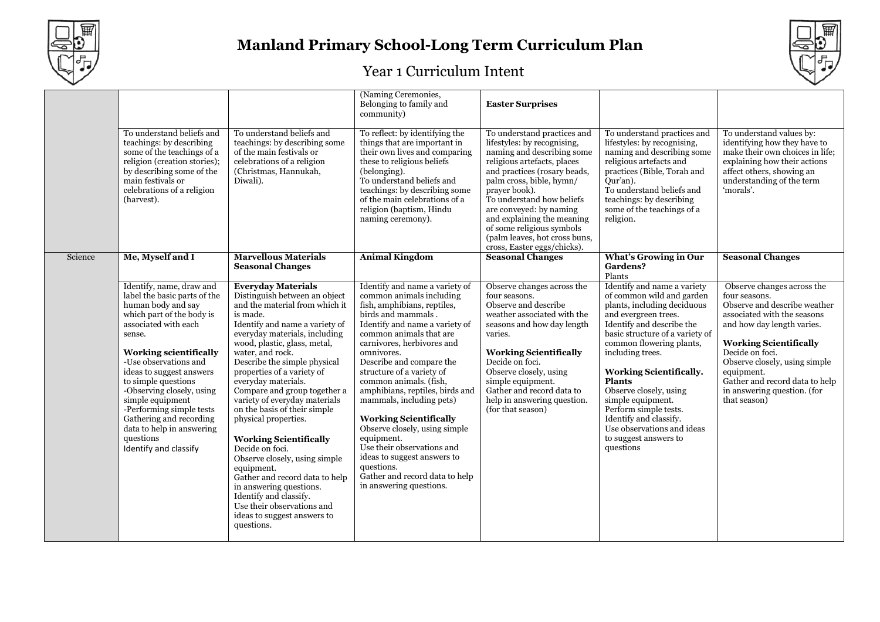



|         |                                                                                                                                                                                                                                                                                                                                                                                                                                       |                                                                                                                                                                                                                                                                                                                                                                                                                                                                                                                                                                                                                                                                                                                    | (Naming Ceremonies,<br>Belonging to family and<br>community)                                                                                                                                                                                                                                                                                                                                                                                                                                                                                                                                       | <b>Easter Surprises</b>                                                                                                                                                                                                                                                                                                                                                                 |                                                                                                                                                                                                                                                                                                                                                                                                                                                          |                                                                                                                                                                                                                                                                                                                              |
|---------|---------------------------------------------------------------------------------------------------------------------------------------------------------------------------------------------------------------------------------------------------------------------------------------------------------------------------------------------------------------------------------------------------------------------------------------|--------------------------------------------------------------------------------------------------------------------------------------------------------------------------------------------------------------------------------------------------------------------------------------------------------------------------------------------------------------------------------------------------------------------------------------------------------------------------------------------------------------------------------------------------------------------------------------------------------------------------------------------------------------------------------------------------------------------|----------------------------------------------------------------------------------------------------------------------------------------------------------------------------------------------------------------------------------------------------------------------------------------------------------------------------------------------------------------------------------------------------------------------------------------------------------------------------------------------------------------------------------------------------------------------------------------------------|-----------------------------------------------------------------------------------------------------------------------------------------------------------------------------------------------------------------------------------------------------------------------------------------------------------------------------------------------------------------------------------------|----------------------------------------------------------------------------------------------------------------------------------------------------------------------------------------------------------------------------------------------------------------------------------------------------------------------------------------------------------------------------------------------------------------------------------------------------------|------------------------------------------------------------------------------------------------------------------------------------------------------------------------------------------------------------------------------------------------------------------------------------------------------------------------------|
|         | To understand beliefs and<br>teachings: by describing<br>some of the teachings of a<br>religion (creation stories);<br>by describing some of the<br>main festivals or<br>celebrations of a religion<br>(harvest).                                                                                                                                                                                                                     | To understand beliefs and<br>teachings: by describing some<br>of the main festivals or<br>celebrations of a religion<br>(Christmas, Hannukah,<br>Diwali).                                                                                                                                                                                                                                                                                                                                                                                                                                                                                                                                                          | To reflect: by identifying the<br>things that are important in<br>their own lives and comparing<br>these to religious beliefs<br>(belonging).<br>To understand beliefs and<br>teachings: by describing some<br>of the main celebrations of a<br>religion (baptism, Hindu<br>naming ceremony).                                                                                                                                                                                                                                                                                                      | To understand practices and<br>lifestyles: by recognising,<br>naming and describing some<br>religious artefacts, places<br>and practices (rosary beads,<br>palm cross, bible, hymn/<br>prayer book).<br>To understand how beliefs<br>are conveyed: by naming<br>and explaining the meaning<br>of some religious symbols<br>(palm leaves, hot cross buns,<br>cross, Easter eggs/chicks). | To understand practices and<br>lifestyles: by recognising.<br>naming and describing some<br>religious artefacts and<br>practices (Bible, Torah and<br>Qur'an).<br>To understand beliefs and<br>teachings: by describing<br>some of the teachings of a<br>religion.                                                                                                                                                                                       | To understand values by:<br>identifying how they have to<br>make their own choices in life;<br>explaining how their actions<br>affect others, showing an<br>understanding of the term<br>'morals'.                                                                                                                           |
| Science | Me, Myself and I                                                                                                                                                                                                                                                                                                                                                                                                                      | <b>Marvellous Materials</b><br><b>Seasonal Changes</b>                                                                                                                                                                                                                                                                                                                                                                                                                                                                                                                                                                                                                                                             | <b>Animal Kingdom</b>                                                                                                                                                                                                                                                                                                                                                                                                                                                                                                                                                                              | <b>Seasonal Changes</b>                                                                                                                                                                                                                                                                                                                                                                 | <b>What's Growing in Our</b><br>Gardens?<br>Plants                                                                                                                                                                                                                                                                                                                                                                                                       | <b>Seasonal Changes</b>                                                                                                                                                                                                                                                                                                      |
|         | Identify, name, draw and<br>label the basic parts of the<br>human body and say<br>which part of the body is<br>associated with each<br>sense.<br><b>Working scientifically</b><br>-Use observations and<br>ideas to suggest answers<br>to simple questions<br>-Observing closely, using<br>simple equipment<br>-Performing simple tests<br>Gathering and recording<br>data to help in answering<br>questions<br>Identify and classify | <b>Everyday Materials</b><br>Distinguish between an object<br>and the material from which it<br>is made.<br>Identify and name a variety of<br>everyday materials, including<br>wood, plastic, glass, metal,<br>water, and rock.<br>Describe the simple physical<br>properties of a variety of<br>everyday materials.<br>Compare and group together a<br>variety of everyday materials<br>on the basis of their simple<br>physical properties.<br><b>Working Scientifically</b><br>Decide on foci.<br>Observe closely, using simple<br>equipment.<br>Gather and record data to help<br>in answering questions.<br>Identify and classify.<br>Use their observations and<br>ideas to suggest answers to<br>questions. | Identify and name a variety of<br>common animals including<br>fish, amphibians, reptiles,<br>birds and mammals.<br>Identify and name a variety of<br>common animals that are<br>carnivores, herbivores and<br>omnivores.<br>Describe and compare the<br>structure of a variety of<br>common animals. (fish,<br>amphibians, reptiles, birds and<br>mammals, including pets)<br><b>Working Scientifically</b><br>Observe closely, using simple<br>equipment.<br>Use their observations and<br>ideas to suggest answers to<br>questions.<br>Gather and record data to help<br>in answering questions. | Observe changes across the<br>four seasons.<br>Observe and describe<br>weather associated with the<br>seasons and how day length<br>varies.<br><b>Working Scientifically</b><br>Decide on foci.<br>Observe closely, using<br>simple equipment.<br>Gather and record data to<br>help in answering question.<br>(for that season)                                                         | Identify and name a variety<br>of common wild and garden<br>plants, including deciduous<br>and evergreen trees.<br>Identify and describe the<br>basic structure of a variety of<br>common flowering plants,<br>including trees.<br><b>Working Scientifically.</b><br><b>Plants</b><br>Observe closely, using<br>simple equipment.<br>Perform simple tests.<br>Identify and classify.<br>Use observations and ideas<br>to suggest answers to<br>questions | Observe changes across the<br>four seasons.<br>Observe and describe weather<br>associated with the seasons<br>and how day length varies.<br><b>Working Scientifically</b><br>Decide on foci.<br>Observe closely, using simple<br>equipment.<br>Gather and record data to help<br>in answering question. (for<br>that season) |